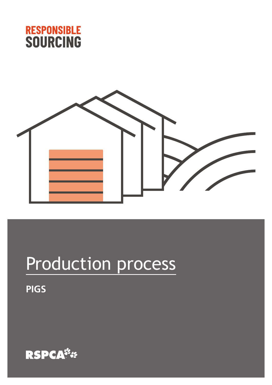



# Production process

**PIGS**

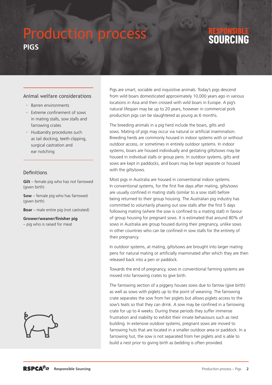### Production process **PIGS**

## SOIIRCING

#### Animal welfare considerations

- Barren environments
- Extreme confinement of sows in mating stalls, sow stalls and farrowing crates
- Husbandry procedures such as tail docking, teeth clipping, surgical castration and ear notching

#### **Definitions**

**Gilt** – female pig who has not farrowed (given birth)

**Sow** – female pig who has farrowed (given birth)

**Boar** – male entire pig (not castrated)

**Grower/weaner/finisher pig** – pig who is raised for meat



Pigs are smart, sociable and inquisitive animals. Today's pigs descend from wild boars domesticated approximately 10,000 years ago in various locations in Asia and then crossed with wild boars in Europe. A pig's natural lifespan may be up to 20 years, however in commercial pork production pigs can be slaughtered as young as 6 months.

The breeding animals in a pig herd include the boars, gilts and sows. Mating of pigs may occur via natural or artificial insemination. Breeding herds are commonly housed in indoor systems with or without outdoor access, or sometimes in entirely outdoor systems. In indoor systems, boars are housed individually and gestating gilts/sows may be housed in individual stalls or group pens. In outdoor systems, gilts and sows are kept in paddocks, and boars may be kept separate or housed with the gilts/sows.

Most pigs in Australia are housed in conventional indoor systems. In conventional systems, for the first five days after mating, gilts/sows are usually confined in mating stalls (similar to a sow stall) before being returned to their group housing. The Australian pig industry has committed to voluntarily phasing out sow stalls after the first 5 days following mating (where the sow is confined to a mating stall) in favour of group housing for pregnant sows. It is estimated that around 80% of sows in Australia are group housed during their pregnancy, unlike sows in other countries who can be confined in sow stalls for the entirety of their pregnancy.

In outdoor systems, at mating, gilts/sows are brought into larger mating pens for natural mating or artificially inseminated after which they are then released back into a pen or paddock.

Towards the end of pregnancy, sows in conventional farming systems are moved into farrowing crates to give birth.

The farrowing section of a piggery houses sows due to farrow (give birth) as well as sows with piglets up to the point of weaning. The farrowing crate separates the sow from her piglets but allows piglets access to the sow's teats so that they can drink. A sow may be confined in a farrowing crate for up to 4 weeks. During these periods they suffer immense frustration and inability to exhibit their innate behaviours such as nest building. In extensive outdoor systems, pregnant sows are moved to farrowing huts that are located in a smaller outdoor area or paddock. In a farrowing hut, the sow is not separated from her piglets and is able to build a nest prior to giving birth as bedding is often provided.